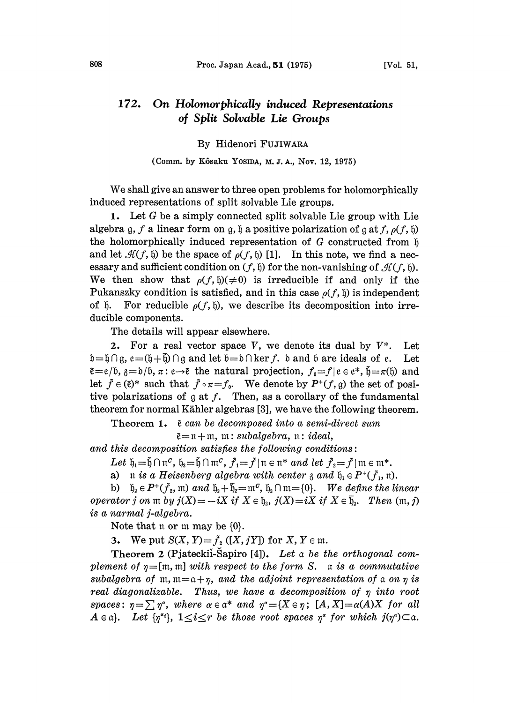## 172. On Holomorphically induced Representations of Split Solvable Lie Groups

## By Hidenori FUJIWAA

## (Comm. by Kôsaku Yosida, M. J. A., Nov. 12, 1975)

We shall give an answer to three open problems for holomorphically induced representations of split solvable Lie groups.

1. Let G be a simply connected split solvable Lie group with Lie algebra  $g, f$  a linear form on  $g, \mathfrak{h}$  a positive polarization of  $g$  at  $f, \rho(f, \mathfrak{h})$ the holomorphically induced representation of  $G$  constructed from  $\natural$ and let  $\mathcal{H}(f, \mathfrak{h})$  be the space of  $\rho(f, \mathfrak{h})$  [1]. In this note, we find a necessary and sufficient condition on  $(f, \mathfrak{h})$  for the non-vanishing of  $\mathcal{H}(f, \mathfrak{h})$ . We then show that  $\rho(f, \mathfrak{h})(\neq 0)$  is irreducible if and only if the Pukanszky condition is satisfied, and in this case  $\rho(f, \mathfrak{h})$  is independent of  $\mathfrak b$ . For reducible  $\rho(f, \mathfrak h)$ , we describe its decomposition into irreducible components.

The details will appear elsewhere.

2. For a real vector space V, we denote its dual by  $V^*$ . Let  $\mathfrak{b}=\mathfrak{h}\cap\mathfrak{g},$   $e=(\mathfrak{h}+\mathfrak{h})\cap\mathfrak{g}$  and let  $\mathfrak{b}=\mathfrak{d}\cap\ker f$ .  $\mathfrak{b}$  and  $\mathfrak{b}$  are ideals of  $e$ .  $\mathfrak{b}=\mathfrak{d}\cap \ker f.$  b and b are ideals of e. Let<br>tural projection,  $f_{\mathfrak{g}}=f | e \in e^*, \tilde{\mathfrak{h}}=\pi(\mathfrak{h})$  and<br> $f_{\mathfrak{g}}$ . We denote by  $P^+(f, \mathfrak{g})$  the set of posi-<br>Then as a corollary of the fundamental  $\tilde{e}=e/6$ ,  $\tilde{g}=b/6$ ,  $\pi: e \rightarrow \tilde{e}$  the natural projection,  $f_0=f|e\in e^*, \tilde{b}=\pi(\tilde{b})$  and  $e=e/p$ ,  $\hat{\beta}=0/0$ ,  $\pi: e \rightarrow e$  the natural projection,  $J_0 = f/e \in e^*$ ,  $\hat{\beta} = \pi(0)$  and let  $\tilde{f} \in (\tilde{e})^*$  such that  $\tilde{f} \circ \pi = f_0$ . We denote by  $P^+(f, g)$  the set of positive polarizations of  $g$  at  $f$ . Then, as a corollary of the fundamental theorem for normal Kihler algebras [3], we have the following theorem.

Theorem 1.  $\tilde{e}$  can be decomposed into a semi-direct sum

 $\tilde{e} = n + m$ , m: subalgebra, n: ideal,

and this decomposition satisfies the following conditions:

Let  $\mathfrak{h}_1 = \tilde{\mathfrak{h}} \cap \mathfrak{n}^c$ ,  $\mathfrak{h}_2 = \tilde{\mathfrak{h}} \cap \mathfrak{m}^c$ ,  $\tilde{f}_1 = \tilde{f} \mid \mathfrak{n} \in \mathfrak{n}^*$  and let  $\tilde{f}_2 = \tilde{f} \mid \mathfrak{m} \in \mathfrak{m}^*$ .

a) n is a Heisenberg algebra with center  $\alpha$  and  $\beta_0 \in P^+(\tilde{f}_1, \mathfrak{n})$ .

Let  $\mathfrak{h}_1 = \mathfrak{h} \cap \mathfrak{n}^c$ ,  $\mathfrak{h}_2 = \mathfrak{h} \cap \mathfrak{m}^c$ ,  $f_1 = f \mid \mathfrak{n} \in \mathfrak{n}^*$  and let  $f_2 = f \mid \mathfrak{m} \in \mathfrak{m}^*$ .<br>
a)  $\mathfrak{n}$  is a Heisenberg algebra with center  $\mathfrak{z}$  and  $\mathfrak{h}_1 \in P^+(\tilde{f}_1, \mathfrak{n})$ .<br> operator j on  $m$  by  $j(X) = -iX$  if  $X \in \mathfrak{h}_2$ ,  $j(X)=iX$  if  $X \in \mathfrak{h}_2$ . Then  $(m, j)$ is a narmal j-algebra.

Note that  $\mathfrak n$  or  $\mathfrak m$  may be  $\{0\}$ .

3. We put  $S(X, Y) = \tilde{f}_2([X, jY])$  for  $X, Y \in \mathfrak{m}$ .

Theorem 2 (Pjateckii-Šapiro [4]). Let a be the orthogonal complement of  $\eta=[m, m]$  with respect to the form S. a is a commutative subalgebra of  $m, m=a+\eta$ , and the adjoint representation of a on  $\eta$  is real diagonalizable. Thus, we have a decomposition of  $\eta$  into root  $spaces$  :  $\eta = \sum \eta^*$ , where  $\alpha \in \alpha^*$  and  $\eta^* = \{X \in \eta\}$ ;  $[A, X] = \alpha(A)X$  for all <br>Let  $\{\eta^* \}$ ,  $1 \leq i \leq r$  be those root spaces  $\eta^*$  for which  $j(\eta^*) \subset \alpha$ .  $A \in \mathfrak{a}$ . Let  $\{p^{\alpha_i}\}, \ 1 \leq i \leq r$  be those root spaces  $p^{\alpha}$  for which  $j(p^{\alpha}) \subset \mathfrak{a}$ .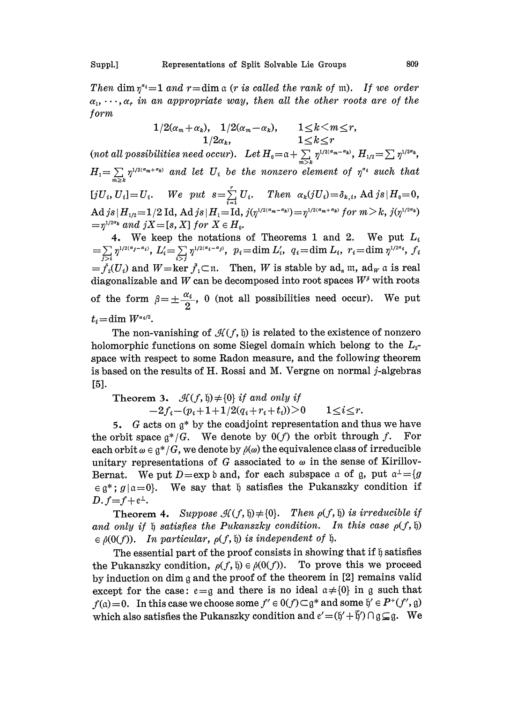Then dim  $\eta^{a_i}=1$  and  $r=\dim \alpha$  (r is called the rank of m). If we order  $\alpha_1, \cdots, \alpha_r$  in an appropriate way, then all the other roots are of the form

$$
1/2(\alpha_m+\alpha_k), \quad 1/2(\alpha_m-\alpha_k), \qquad 1\leq k\leq m\leq r,
$$
  
\n
$$
1/2\alpha_k, \qquad 1\leq k\leq r
$$
  
\n*(not all possibilities need occur).* Let  $H_0=\alpha+\sum_{m\geq k} \eta^{1/2(\alpha_m-\alpha_k)}, H_{1/2}=\sum_{m\geq k} \eta^{1/2\alpha_k},$   
\n $H_1=\sum_{m\geq k} \eta^{1/2(\alpha_m+\alpha_k)} \text{ and let } U_i \text{ be the nonzero element of } \eta^{\alpha_i} \text{ such that}$   
\n $[jU_i, U_i]=U_i.$  We put  $s=\sum_{i=1}^r U_i$ . Then  $\alpha_k(jU_i)=\delta_{k,i}$ , Ad  $js|H_0=0$ ,  
\nAd  $js|H_{1/2}=1/2$  Id, Ad  $js|H_1=\text{Id}, j(\eta^{1/2(\alpha_m-\alpha_k)})=\eta^{1/2(\alpha_m+\alpha_k)} \text{ for } m>k, j(\eta^{1/2\alpha_k})$   
\n $=\eta^{1/2\alpha_k} \text{ and } jX=[s, X] \text{ for } X \in H_0.$ 

4. We keep the notations of Theorems 1 and 2. We put  $L_i$  $\eta^{1/2(\alpha_j-\alpha_i)}, L_i'=\sum_{i\geq 1}\eta^{1/2(\alpha_i-\alpha_j)}, \ \ p_i=\dim L_i', \ \ q_i=\dim L_i, \ \ r_i=\dim \eta^{1/2\alpha_i}, \ f_i$  $=j_2(U_i)$  and  $W=\ker \tilde{f}_1\subset \mathfrak{n}$ . Then, W is stable by  $ad_{\mathfrak{n}}$  m,  $ad_{\mathfrak{n}}$  a is real diagonalizable and W can be decomposed into root spaces  $W^{\beta}$  with roots of the form  $\beta = \pm \frac{\alpha_i}{2}$ , 0 (not all possibilities need occur). We put  $t_i = \dim W^{\alpha_i/2}.$ 

The non-vanishing of  $\mathcal{H}(f, \mathfrak{h})$  is related to the existence of nonzero holomorphic functions on some Siegel domain which belong to the  $L_{2}$ space with respect to some Radon measure, and the following theorem is based on the results of H. Rossi and M. Vergne on normal  $j$ -algebras [5].

Theorem 3.  $\mathcal{H}(f, \mathfrak{h})\neq\{0\}$  if and only if  $-2f_i-(p_i+1+1/2(q_i+r_i+t_i))>0$   $1\leq i\leq r$ .

5. G acts on  $g^*$  by the coadjoint representation and thus we have<br>orbit space  $g^*/G$ . We denote by  $0(f)$  the orbit through f. For the orbit space  $\mathfrak{g}^*/G$ . We denote by  $0(f)$  the orbit through f. For each orbit  $\omega \in \mathfrak{g}^*/G$ , we denote by  $\rho(\omega)$  the equivalence class of irreducible unitary representations of G associated to  $\omega$  in the sense of Kirillov-Bernat. We put  $D = \exp \delta$  and, for each subspace a of g, put  $a^{\perp} = \{g \}$  $\in$  g<sup>\*</sup>;  $g | \alpha = 0$ . We say that  $\beta$  satisfies the Pukanszky condition if  $D.f = f + e^{\perp}$ .

Theorem 4. Suppose  $\mathcal{H}(f, \mathfrak{h}) \neq \{0\}$ . Then  $\rho(f, \mathfrak{h})$  is irreducible if and only if  $\mathfrak h$  satisfies the Pukanszky condition. In this case  $\rho(f, \mathfrak h)$  $\in \hat{\rho}(0(f))$ . In particular,  $\rho(f, \mathfrak{h})$  is independent of  $\mathfrak{h}$ .

The essential part of the proof consists in showing that if  $\mathfrak h$  satisfies the Pukanszky condition,  $\rho(f, \mathfrak{h}) \in \rho(0(f))$ . To prove this we proceed by induction on dim  $g$  and the proof of the theorem in [2] remains valid except for the case:  $e = g$  and there is no ideal  $a \neq \{0\}$  in g such that  $f(a)=0$ . In this case we choose some  $f' \in 0(f) \subset g^*$  and some which also satisfies the Pukanszky condition and  $e' = (h' + \bar{h}')$ which also satisfies the Pukanszky condition and  $e' = (\mathfrak{h}' + \mathfrak{h}') \cap \mathfrak{g} \subseteq \mathfrak{g}$ . We